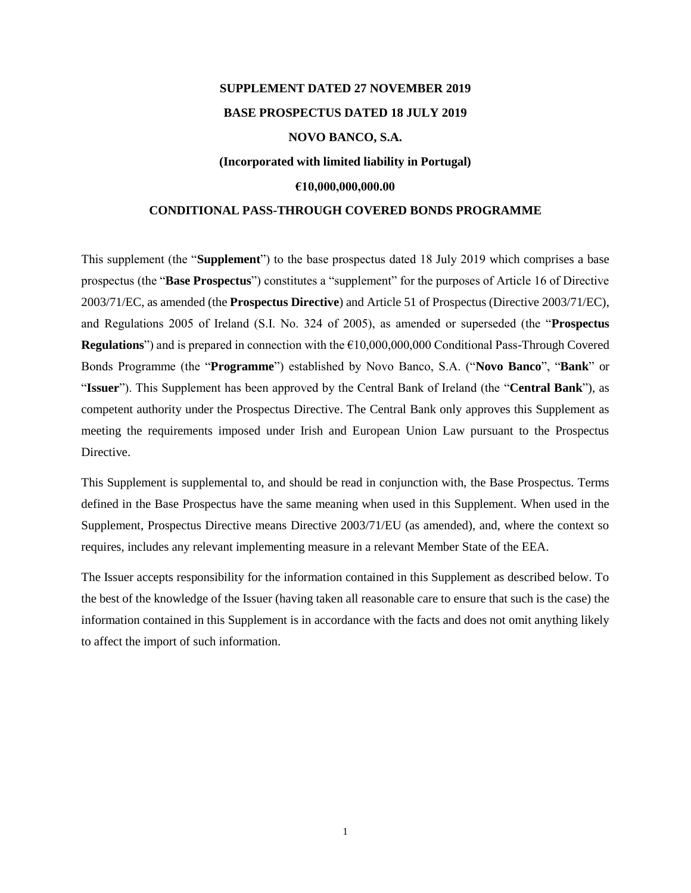# **SUPPLEMENT DATED 27 NOVEMBER 2019 BASE PROSPECTUS DATED 18 JULY 2019 NOVO BANCO, S.A. (Incorporated with limited liability in Portugal) €10,000,000,000.00**

## **CONDITIONAL PASS-THROUGH COVERED BONDS PROGRAMME**

This supplement (the "**Supplement**") to the base prospectus dated 18 July 2019 which comprises a base prospectus (the "**Base Prospectus**") constitutes a "supplement" for the purposes of Article 16 of Directive 2003/71/EC, as amended (the **Prospectus Directive**) and Article 51 of Prospectus (Directive 2003/71/EC), and Regulations 2005 of Ireland (S.I. No. 324 of 2005), as amended or superseded (the "**Prospectus Regulations**") and is prepared in connection with the €10,000,000,000 Conditional Pass-Through Covered Bonds Programme (the "**Programme**") established by Novo Banco, S.A. ("**Novo Banco**", "**Bank**" or "**Issuer**"). This Supplement has been approved by the Central Bank of Ireland (the "**Central Bank**"), as competent authority under the Prospectus Directive. The Central Bank only approves this Supplement as meeting the requirements imposed under Irish and European Union Law pursuant to the Prospectus Directive.

This Supplement is supplemental to, and should be read in conjunction with, the Base Prospectus. Terms defined in the Base Prospectus have the same meaning when used in this Supplement. When used in the Supplement, Prospectus Directive means Directive 2003/71/EU (as amended), and, where the context so requires, includes any relevant implementing measure in a relevant Member State of the EEA.

The Issuer accepts responsibility for the information contained in this Supplement as described below. To the best of the knowledge of the Issuer (having taken all reasonable care to ensure that such is the case) the information contained in this Supplement is in accordance with the facts and does not omit anything likely to affect the import of such information.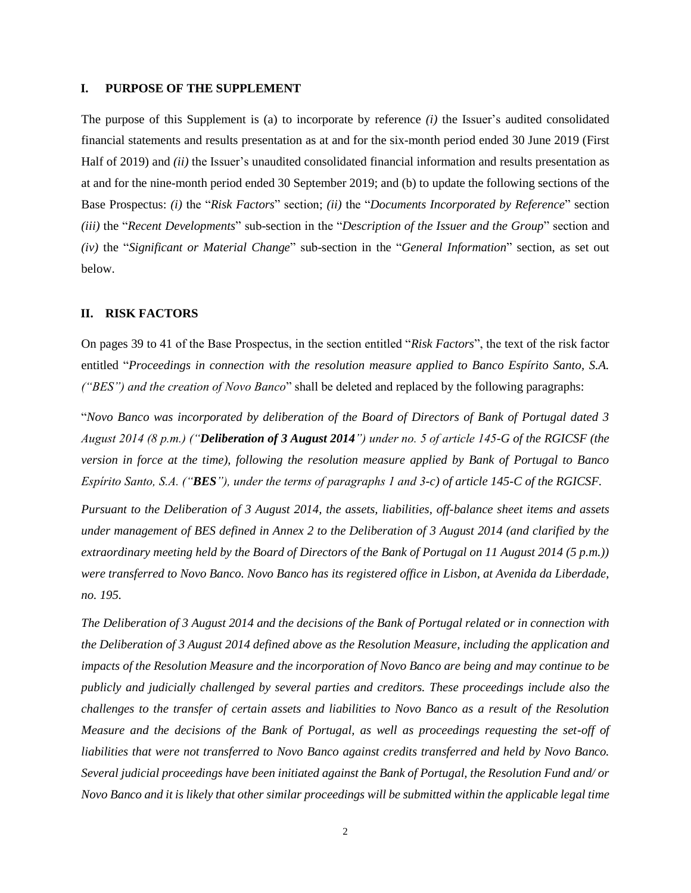#### **I. PURPOSE OF THE SUPPLEMENT**

The purpose of this Supplement is (a) to incorporate by reference *(i)* the Issuer's audited consolidated financial statements and results presentation as at and for the six-month period ended 30 June 2019 (First Half of 2019) and *(ii)* the Issuer's unaudited consolidated financial information and results presentation as at and for the nine-month period ended 30 September 2019; and (b) to update the following sections of the Base Prospectus: *(i)* the "*Risk Factors*" section; *(ii)* the "*Documents Incorporated by Reference*" section *(iii)* the "*Recent Developments*" sub-section in the "*Description of the Issuer and the Group*" section and *(iv)* the "*Significant or Material Change*" sub-section in the "*General Information*" section, as set out below.

#### **II. RISK FACTORS**

On pages 39 to 41 of the Base Prospectus, in the section entitled "*Risk Factors*", the text of the risk factor entitled "*Proceedings in connection with the resolution measure applied to Banco Espírito Santo, S.A. ("BES") and the creation of Novo Banco*" shall be deleted and replaced by the following paragraphs:

"*Novo Banco was incorporated by deliberation of the Board of Directors of Bank of Portugal dated 3 August 2014 (8 p.m.) ("Deliberation of 3 August 2014") under no. 5 of article 145-G of the RGICSF (the version in force at the time), following the resolution measure applied by Bank of Portugal to Banco Espírito Santo, S.A. ("BES"), under the terms of paragraphs 1 and 3-c) of article 145-C of the RGICSF.* 

*Pursuant to the Deliberation of 3 August 2014, the assets, liabilities, off-balance sheet items and assets under management of BES defined in Annex 2 to the Deliberation of 3 August 2014 (and clarified by the extraordinary meeting held by the Board of Directors of the Bank of Portugal on 11 August 2014 (5 p.m.)) were transferred to Novo Banco. Novo Banco has its registered office in Lisbon, at Avenida da Liberdade, no. 195.*

*The Deliberation of 3 August 2014 and the decisions of the Bank of Portugal related or in connection with the Deliberation of 3 August 2014 defined above as the Resolution Measure, including the application and impacts of the Resolution Measure and the incorporation of Novo Banco are being and may continue to be publicly and judicially challenged by several parties and creditors. These proceedings include also the challenges to the transfer of certain assets and liabilities to Novo Banco as a result of the Resolution Measure and the decisions of the Bank of Portugal, as well as proceedings requesting the set-off of liabilities that were not transferred to Novo Banco against credits transferred and held by Novo Banco. Several judicial proceedings have been initiated against the Bank of Portugal, the Resolution Fund and/ or Novo Banco and it is likely that other similar proceedings will be submitted within the applicable legal time*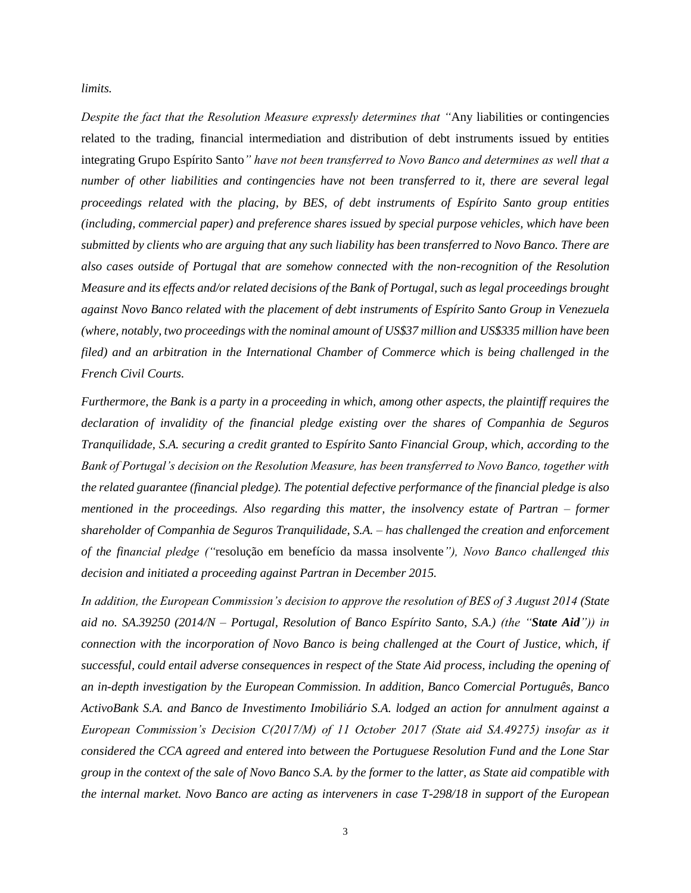*limits.*

*Despite the fact that the Resolution Measure expressly determines that "*Any liabilities or contingencies related to the trading, financial intermediation and distribution of debt instruments issued by entities integrating Grupo Espírito Santo*" have not been transferred to Novo Banco and determines as well that a number of other liabilities and contingencies have not been transferred to it, there are several legal proceedings related with the placing, by BES, of debt instruments of Espírito Santo group entities (including, commercial paper) and preference shares issued by special purpose vehicles, which have been submitted by clients who are arguing that any such liability has been transferred to Novo Banco. There are also cases outside of Portugal that are somehow connected with the non-recognition of the Resolution Measure and its effects and/or related decisions of the Bank of Portugal, such as legal proceedings brought against Novo Banco related with the placement of debt instruments of Espírito Santo Group in Venezuela (where, notably, two proceedings with the nominal amount of US\$37 million and US\$335 million have been filed) and an arbitration in the International Chamber of Commerce which is being challenged in the French Civil Courts.*

*Furthermore, the Bank is a party in a proceeding in which, among other aspects, the plaintiff requires the declaration of invalidity of the financial pledge existing over the shares of Companhia de Seguros Tranquilidade, S.A. securing a credit granted to Espírito Santo Financial Group, which, according to the Bank of Portugal's decision on the Resolution Measure, has been transferred to Novo Banco, together with the related guarantee (financial pledge). The potential defective performance of the financial pledge is also mentioned in the proceedings. Also regarding this matter, the insolvency estate of Partran – former shareholder of Companhia de Seguros Tranquilidade, S.A. – has challenged the creation and enforcement of the financial pledge ("*resolução em benefício da massa insolvente*"), Novo Banco challenged this decision and initiated a proceeding against Partran in December 2015.*

*In addition, the European Commission's decision to approve the resolution of BES of 3 August 2014 (State aid no. SA.39250 (2014/N – Portugal, Resolution of Banco Espírito Santo, S.A.) (the "State Aid")) in connection with the incorporation of Novo Banco is being challenged at the Court of Justice, which, if successful, could entail adverse consequences in respect of the State Aid process, including the opening of an in-depth investigation by the European Commission. In addition, Banco Comercial Português, Banco ActivoBank S.A. and Banco de Investimento Imobiliário S.A. lodged an action for annulment against a European Commission's Decision C(2017/M) of 11 October 2017 (State aid SA.49275) insofar as it considered the CCA agreed and entered into between the Portuguese Resolution Fund and the Lone Star group in the context of the sale of Novo Banco S.A. by the former to the latter, as State aid compatible with the internal market. Novo Banco are acting as interveners in case T-298/18 in support of the European*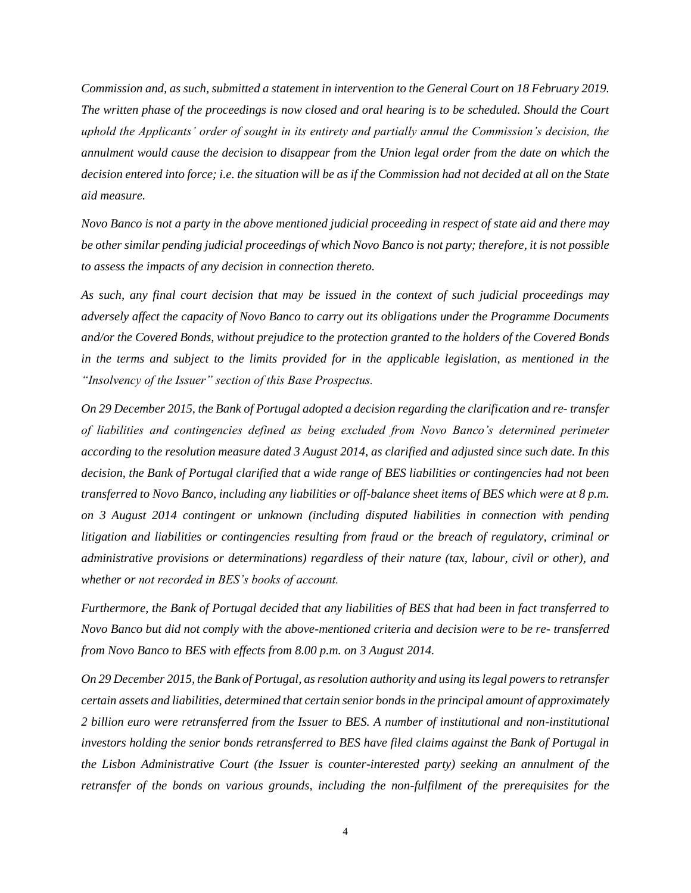*Commission and, as such, submitted a statement in intervention to the General Court on 18 February 2019. The written phase of the proceedings is now closed and oral hearing is to be scheduled. Should the Court uphold the Applicants' order of sought in its entirety and partially annul the Commission's decision, the annulment would cause the decision to disappear from the Union legal order from the date on which the decision entered into force; i.e. the situation will be as if the Commission had not decided at all on the State aid measure.*

*Novo Banco is not a party in the above mentioned judicial proceeding in respect of state aid and there may be other similar pending judicial proceedings of which Novo Banco is not party; therefore, it is not possible to assess the impacts of any decision in connection thereto.*

*As such, any final court decision that may be issued in the context of such judicial proceedings may adversely affect the capacity of Novo Banco to carry out its obligations under the Programme Documents and/or the Covered Bonds, without prejudice to the protection granted to the holders of the Covered Bonds in the terms and subject to the limits provided for in the applicable legislation, as mentioned in the "Insolvency of the Issuer" section of this Base Prospectus.*

*On 29 December 2015, the Bank of Portugal adopted a decision regarding the clarification and re- transfer of liabilities and contingencies defined as being excluded from Novo Banco's determined perimeter according to the resolution measure dated 3 August 2014, as clarified and adjusted since such date. In this decision, the Bank of Portugal clarified that a wide range of BES liabilities or contingencies had not been transferred to Novo Banco, including any liabilities or off-balance sheet items of BES which were at 8 p.m. on 3 August 2014 contingent or unknown (including disputed liabilities in connection with pending litigation and liabilities or contingencies resulting from fraud or the breach of regulatory, criminal or administrative provisions or determinations) regardless of their nature (tax, labour, civil or other), and whether or not recorded in BES's books of account.*

*Furthermore, the Bank of Portugal decided that any liabilities of BES that had been in fact transferred to Novo Banco but did not comply with the above-mentioned criteria and decision were to be re- transferred from Novo Banco to BES with effects from 8.00 p.m. on 3 August 2014.*

*On 29 December 2015, the Bank of Portugal, as resolution authority and using its legal powers to retransfer certain assets and liabilities, determined that certain senior bonds in the principal amount of approximately 2 billion euro were retransferred from the Issuer to BES. A number of institutional and non-institutional investors holding the senior bonds retransferred to BES have filed claims against the Bank of Portugal in the Lisbon Administrative Court (the Issuer is counter-interested party) seeking an annulment of the retransfer of the bonds on various grounds, including the non-fulfilment of the prerequisites for the*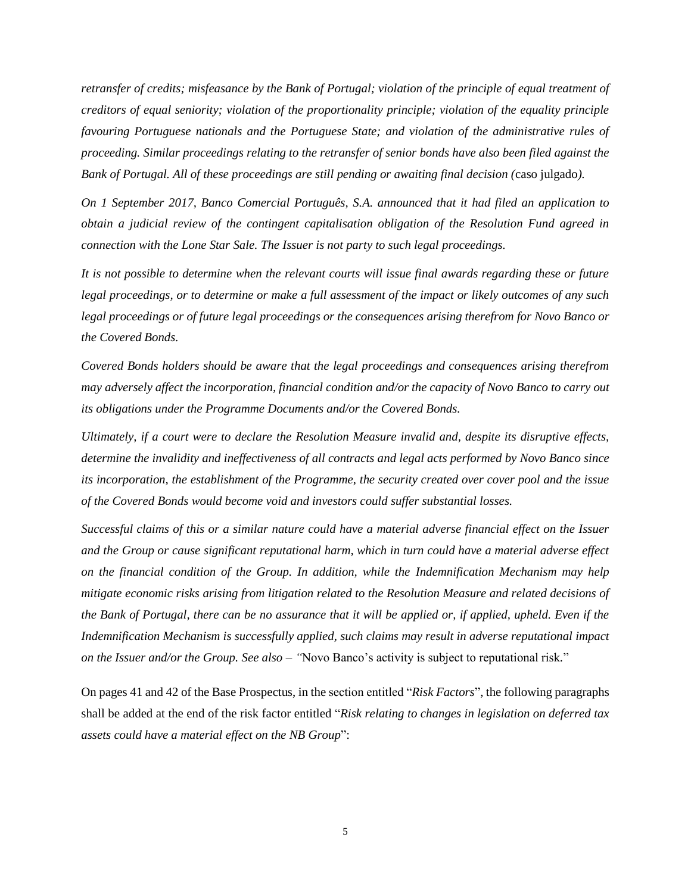*retransfer of credits; misfeasance by the Bank of Portugal; violation of the principle of equal treatment of creditors of equal seniority; violation of the proportionality principle; violation of the equality principle favouring Portuguese nationals and the Portuguese State; and violation of the administrative rules of proceeding. Similar proceedings relating to the retransfer of senior bonds have also been filed against the Bank of Portugal. All of these proceedings are still pending or awaiting final decision (*caso julgado*).*

*On 1 September 2017, Banco Comercial Português, S.A. announced that it had filed an application to obtain a judicial review of the contingent capitalisation obligation of the Resolution Fund agreed in connection with the Lone Star Sale. The Issuer is not party to such legal proceedings.*

*It is not possible to determine when the relevant courts will issue final awards regarding these or future legal proceedings, or to determine or make a full assessment of the impact or likely outcomes of any such legal proceedings or of future legal proceedings or the consequences arising therefrom for Novo Banco or the Covered Bonds.*

*Covered Bonds holders should be aware that the legal proceedings and consequences arising therefrom may adversely affect the incorporation, financial condition and/or the capacity of Novo Banco to carry out its obligations under the Programme Documents and/or the Covered Bonds.*

*Ultimately, if a court were to declare the Resolution Measure invalid and, despite its disruptive effects, determine the invalidity and ineffectiveness of all contracts and legal acts performed by Novo Banco since its incorporation, the establishment of the Programme, the security created over cover pool and the issue of the Covered Bonds would become void and investors could suffer substantial losses.*

*Successful claims of this or a similar nature could have a material adverse financial effect on the Issuer and the Group or cause significant reputational harm, which in turn could have a material adverse effect on the financial condition of the Group. In addition, while the Indemnification Mechanism may help mitigate economic risks arising from litigation related to the Resolution Measure and related decisions of the Bank of Portugal, there can be no assurance that it will be applied or, if applied, upheld. Even if the Indemnification Mechanism is successfully applied, such claims may result in adverse reputational impact on the Issuer and/or the Group. See also – "*Novo Banco's activity is subject to reputational risk*.*"

On pages 41 and 42 of the Base Prospectus, in the section entitled "*Risk Factors*", the following paragraphs shall be added at the end of the risk factor entitled "*Risk relating to changes in legislation on deferred tax assets could have a material effect on the NB Group*":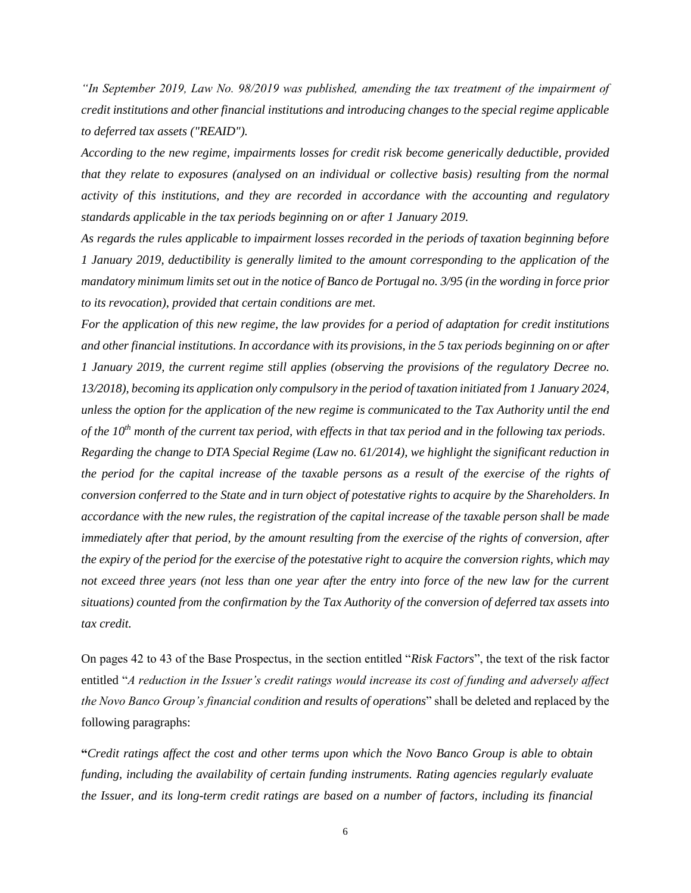*"In September 2019, Law No. 98/2019 was published, amending the tax treatment of the impairment of credit institutions and other financial institutions and introducing changes to the special regime applicable to deferred tax assets ("REAID").* 

*According to the new regime, impairments losses for credit risk become generically deductible, provided that they relate to exposures (analysed on an individual or collective basis) resulting from the normal activity of this institutions, and they are recorded in accordance with the accounting and regulatory standards applicable in the tax periods beginning on or after 1 January 2019.*

*As regards the rules applicable to impairment losses recorded in the periods of taxation beginning before 1 January 2019, deductibility is generally limited to the amount corresponding to the application of the mandatory minimum limits set out in the notice of Banco de Portugal no. 3/95 (in the wording in force prior to its revocation), provided that certain conditions are met.* 

*For the application of this new regime, the law provides for a period of adaptation for credit institutions and other financial institutions. In accordance with its provisions, in the 5 tax periods beginning on or after 1 January 2019, the current regime still applies (observing the provisions of the regulatory Decree no. 13/2018), becoming its application only compulsory in the period of taxation initiated from 1 January 2024, unless the option for the application of the new regime is communicated to the Tax Authority until the end of the 10th month of the current tax period, with effects in that tax period and in the following tax periods.* 

*Regarding the change to DTA Special Regime (Law no. 61/2014), we highlight the significant reduction in the period for the capital increase of the taxable persons as a result of the exercise of the rights of conversion conferred to the State and in turn object of potestative rights to acquire by the Shareholders. In accordance with the new rules, the registration of the capital increase of the taxable person shall be made immediately after that period, by the amount resulting from the exercise of the rights of conversion, after the expiry of the period for the exercise of the potestative right to acquire the conversion rights, which may not exceed three years (not less than one year after the entry into force of the new law for the current situations) counted from the confirmation by the Tax Authority of the conversion of deferred tax assets into tax credit.*

On pages 42 to 43 of the Base Prospectus, in the section entitled "*Risk Factors*", the text of the risk factor entitled "*A reduction in the Issuer's credit ratings would increase its cost of funding and adversely affect the Novo Banco Group's financial condition and results of operations*" shall be deleted and replaced by the following paragraphs:

**"***Credit ratings affect the cost and other terms upon which the Novo Banco Group is able to obtain funding, including the availability of certain funding instruments. Rating agencies regularly evaluate the Issuer, and its long-term credit ratings are based on a number of factors, including its financial*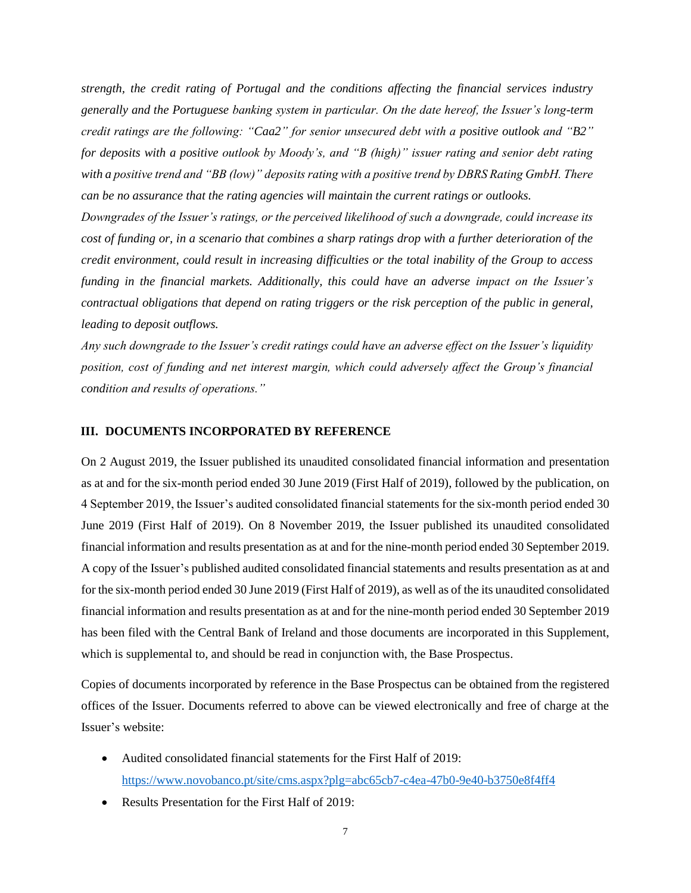*strength, the credit rating of Portugal and the conditions affecting the financial services industry generally and the Portuguese banking system in particular. On the date hereof, the Issuer's long-term credit ratings are the following: "Caa2" for senior unsecured debt with a positive outlook and "B2" for deposits with a positive outlook by Moody's, and "B (high)" issuer rating and senior debt rating with a positive trend and "BB (low)" deposits rating with a positive trend by DBRS Rating GmbH. There can be no assurance that the rating agencies will maintain the current ratings or outlooks.*

*Downgrades of the Issuer's ratings, or the perceived likelihood of such a downgrade, could increase its cost of funding or, in a scenario that combines a sharp ratings drop with a further deterioration of the credit environment, could result in increasing difficulties or the total inability of the Group to access funding in the financial markets. Additionally, this could have an adverse impact on the Issuer's contractual obligations that depend on rating triggers or the risk perception of the public in general, leading to deposit outflows.*

*Any such downgrade to the Issuer's credit ratings could have an adverse effect on the Issuer's liquidity position, cost of funding and net interest margin, which could adversely affect the Group's financial condition and results of operations."*

#### **III. DOCUMENTS INCORPORATED BY REFERENCE**

On 2 August 2019, the Issuer published its unaudited consolidated financial information and presentation as at and for the six-month period ended 30 June 2019 (First Half of 2019), followed by the publication, on 4 September 2019, the Issuer's audited consolidated financial statements for the six-month period ended 30 June 2019 (First Half of 2019). On 8 November 2019, the Issuer published its unaudited consolidated financial information and results presentation as at and for the nine-month period ended 30 September 2019. A copy of the Issuer's published audited consolidated financial statements and results presentation as at and for the six-month period ended 30 June 2019 (First Half of 2019), as well as of the its unaudited consolidated financial information and results presentation as at and for the nine-month period ended 30 September 2019 has been filed with the Central Bank of Ireland and those documents are incorporated in this Supplement, which is supplemental to, and should be read in conjunction with, the Base Prospectus.

Copies of documents incorporated by reference in the Base Prospectus can be obtained from the registered offices of the Issuer. Documents referred to above can be viewed electronically and free of charge at the Issuer's website:

- Audited consolidated financial statements for the First Half of 2019: <https://www.novobanco.pt/site/cms.aspx?plg=abc65cb7-c4ea-47b0-9e40-b3750e8f4ff4>
- Results Presentation for the First Half of 2019: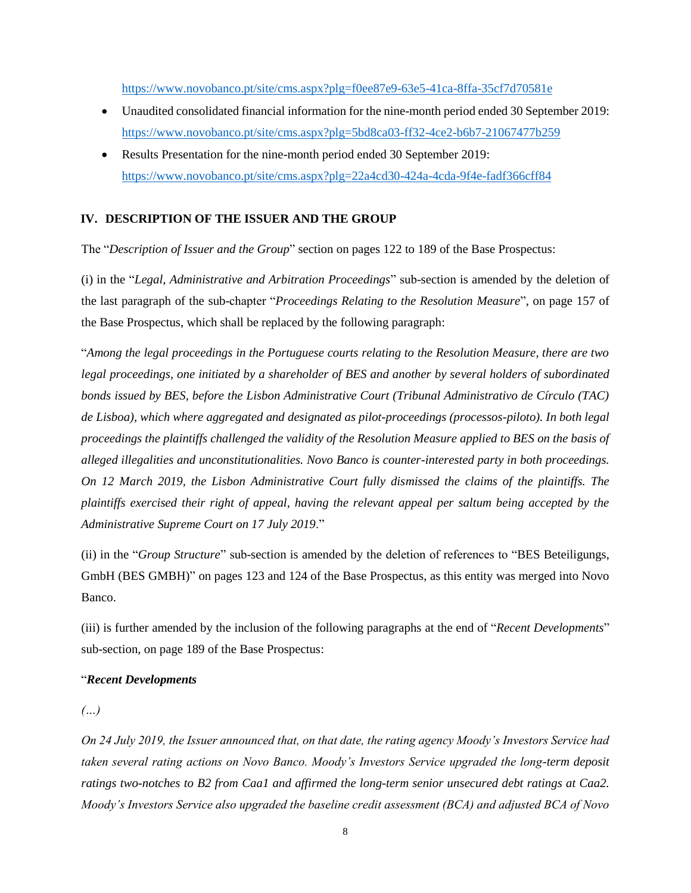<https://www.novobanco.pt/site/cms.aspx?plg=f0ee87e9-63e5-41ca-8ffa-35cf7d70581e>

- Unaudited consolidated financial information for the nine-month period ended 30 September 2019: <https://www.novobanco.pt/site/cms.aspx?plg=5bd8ca03-ff32-4ce2-b6b7-21067477b259>
- Results Presentation for the nine-month period ended 30 September 2019: https://www.novobanco.pt/site/cms.aspx?plg=22a4cd30-424a-4cda-9f4e-fadf366cff84

### **IV. DESCRIPTION OF THE ISSUER AND THE GROUP**

The "*Description of Issuer and the Group*" section on pages 122 to 189 of the Base Prospectus:

(i) in the "*Legal, Administrative and Arbitration Proceedings*" sub-section is amended by the deletion of the last paragraph of the sub-chapter "*Proceedings Relating to the Resolution Measure*", on page 157 of the Base Prospectus, which shall be replaced by the following paragraph:

"*Among the legal proceedings in the Portuguese courts relating to the Resolution Measure, there are two legal proceedings, one initiated by a shareholder of BES and another by several holders of subordinated bonds issued by BES, before the Lisbon Administrative Court (Tribunal Administrativo de Círculo (TAC) de Lisboa), which where aggregated and designated as pilot-proceedings (processos-piloto). In both legal proceedings the plaintiffs challenged the validity of the Resolution Measure applied to BES on the basis of alleged illegalities and unconstitutionalities. Novo Banco is counter-interested party in both proceedings. On 12 March 2019, the Lisbon Administrative Court fully dismissed the claims of the plaintiffs. The plaintiffs exercised their right of appeal, having the relevant appeal per saltum being accepted by the Administrative Supreme Court on 17 July 2019*."

(ii) in the "*Group Structure*" sub-section is amended by the deletion of references to "BES Beteiligungs, GmbH (BES GMBH)" on pages 123 and 124 of the Base Prospectus, as this entity was merged into Novo Banco.

(iii) is further amended by the inclusion of the following paragraphs at the end of "*Recent Developments*" sub-section, on page 189 of the Base Prospectus:

#### "*Recent Developments*

*(…)*

*On 24 July 2019, the Issuer announced that, on that date, the rating agency Moody's Investors Service had taken several rating actions on Novo Banco. Moody's Investors Service upgraded the long-term deposit ratings two-notches to B2 from Caa1 and affirmed the long-term senior unsecured debt ratings at Caa2. Moody's Investors Service also upgraded the baseline credit assessment (BCA) and adjusted BCA of Novo*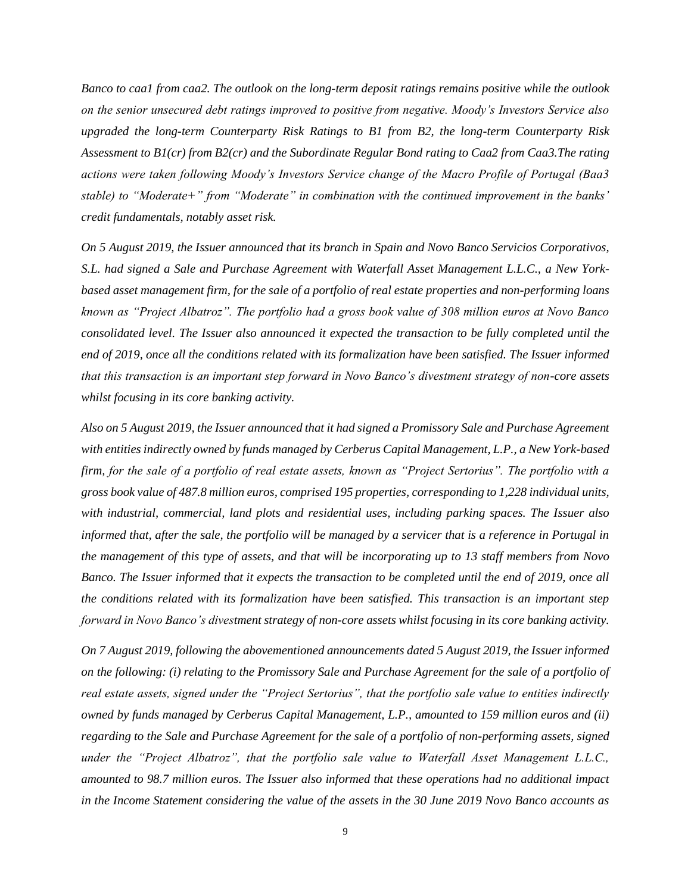*Banco to caa1 from caa2. The outlook on the long-term deposit ratings remains positive while the outlook on the senior unsecured debt ratings improved to positive from negative. Moody's Investors Service also upgraded the long-term Counterparty Risk Ratings to B1 from B2, the long-term Counterparty Risk Assessment to B1(cr) from B2(cr) and the Subordinate Regular Bond rating to Caa2 from Caa3.The rating actions were taken following Moody's Investors Service change of the Macro Profile of Portugal (Baa3 stable) to "Moderate+" from "Moderate" in combination with the continued improvement in the banks' credit fundamentals, notably asset risk.*

*On 5 August 2019, the Issuer announced that its branch in Spain and Novo Banco Servicios Corporativos, S.L. had signed a Sale and Purchase Agreement with Waterfall Asset Management L.L.C., a New Yorkbased asset management firm, for the sale of a portfolio of real estate properties and non-performing loans known as "Project Albatroz". The portfolio had a gross book value of 308 million euros at Novo Banco consolidated level. The Issuer also announced it expected the transaction to be fully completed until the end of 2019, once all the conditions related with its formalization have been satisfied. The Issuer informed that this transaction is an important step forward in Novo Banco's divestment strategy of non-core assets whilst focusing in its core banking activity.*

*Also on 5 August 2019, the Issuer announced that it had signed a Promissory Sale and Purchase Agreement with entities indirectly owned by funds managed by Cerberus Capital Management, L.P., a New York-based firm, for the sale of a portfolio of real estate assets, known as "Project Sertorius". The portfolio with a gross book value of 487.8 million euros, comprised 195 properties, corresponding to 1,228 individual units, with industrial, commercial, land plots and residential uses, including parking spaces. The Issuer also informed that, after the sale, the portfolio will be managed by a servicer that is a reference in Portugal in the management of this type of assets, and that will be incorporating up to 13 staff members from Novo Banco. The Issuer informed that it expects the transaction to be completed until the end of 2019, once all the conditions related with its formalization have been satisfied. This transaction is an important step forward in Novo Banco's divestment strategy of non-core assets whilst focusing in its core banking activity.*

*On 7 August 2019, following the abovementioned announcements dated 5 August 2019, the Issuer informed on the following: (i) relating to the Promissory Sale and Purchase Agreement for the sale of a portfolio of real estate assets, signed under the "Project Sertorius", that the portfolio sale value to entities indirectly owned by funds managed by Cerberus Capital Management, L.P., amounted to 159 million euros and (ii) regarding to the Sale and Purchase Agreement for the sale of a portfolio of non-performing assets, signed under the "Project Albatroz", that the portfolio sale value to Waterfall Asset Management L.L.C., amounted to 98.7 million euros. The Issuer also informed that these operations had no additional impact in the Income Statement considering the value of the assets in the 30 June 2019 Novo Banco accounts as*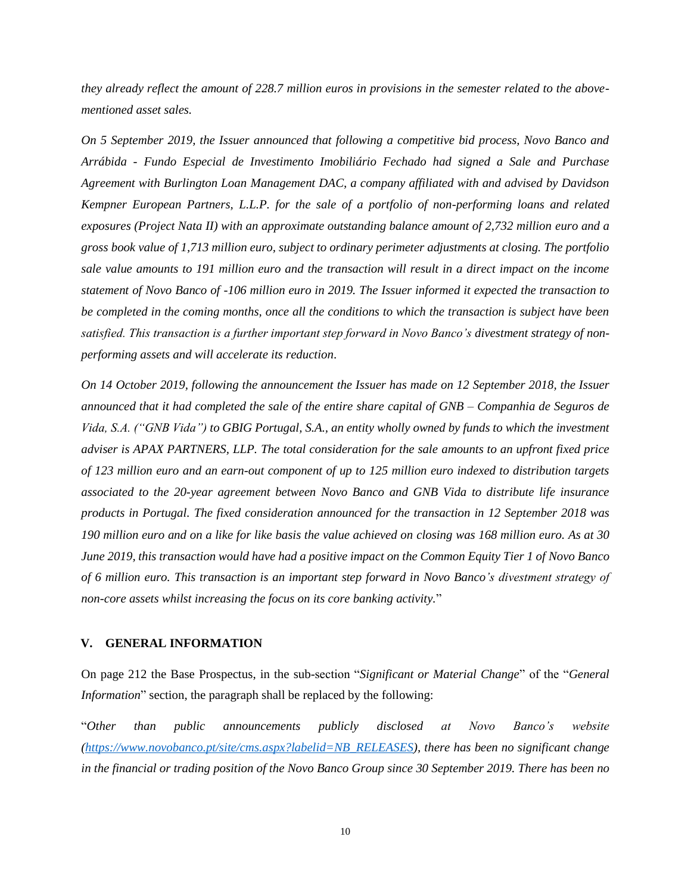*they already reflect the amount of 228.7 million euros in provisions in the semester related to the abovementioned asset sales.*

*On 5 September 2019, the Issuer announced that following a competitive bid process, Novo Banco and Arrábida - Fundo Especial de Investimento Imobiliário Fechado had signed a Sale and Purchase Agreement with Burlington Loan Management DAC, a company affiliated with and advised by Davidson Kempner European Partners, L.L.P. for the sale of a portfolio of non-performing loans and related exposures (Project Nata II) with an approximate outstanding balance amount of 2,732 million euro and a gross book value of 1,713 million euro, subject to ordinary perimeter adjustments at closing. The portfolio sale value amounts to 191 million euro and the transaction will result in a direct impact on the income statement of Novo Banco of -106 million euro in 2019. The Issuer informed it expected the transaction to be completed in the coming months, once all the conditions to which the transaction is subject have been satisfied. This transaction is a further important step forward in Novo Banco's divestment strategy of nonperforming assets and will accelerate its reduction*.

*On 14 October 2019, following the announcement the Issuer has made on 12 September 2018, the Issuer announced that it had completed the sale of the entire share capital of GNB – Companhia de Seguros de Vida, S.A. ("GNB Vida") to GBIG Portugal, S.A., an entity wholly owned by funds to which the investment adviser is APAX PARTNERS, LLP. The total consideration for the sale amounts to an upfront fixed price of 123 million euro and an earn-out component of up to 125 million euro indexed to distribution targets associated to the 20-year agreement between Novo Banco and GNB Vida to distribute life insurance products in Portugal. The fixed consideration announced for the transaction in 12 September 2018 was 190 million euro and on a like for like basis the value achieved on closing was 168 million euro. As at 30 June 2019, this transaction would have had a positive impact on the Common Equity Tier 1 of Novo Banco of 6 million euro. This transaction is an important step forward in Novo Banco's divestment strategy of non-core assets whilst increasing the focus on its core banking activity.*"

#### **V. GENERAL INFORMATION**

On page 212 the Base Prospectus, in the sub-section "*Significant or Material Change*" of the "*General Information*" section, the paragraph shall be replaced by the following:

"*Other than public announcements publicly disclosed at Novo Banco's website [\(https://www.novobanco.pt/site/cms.aspx?labelid=NB\\_RELEASES\)](https://www.novobanco.pt/site/cms.aspx?labelid=NB_RELEASES), there has been no significant change in the financial or trading position of the Novo Banco Group since 30 September 2019. There has been no*